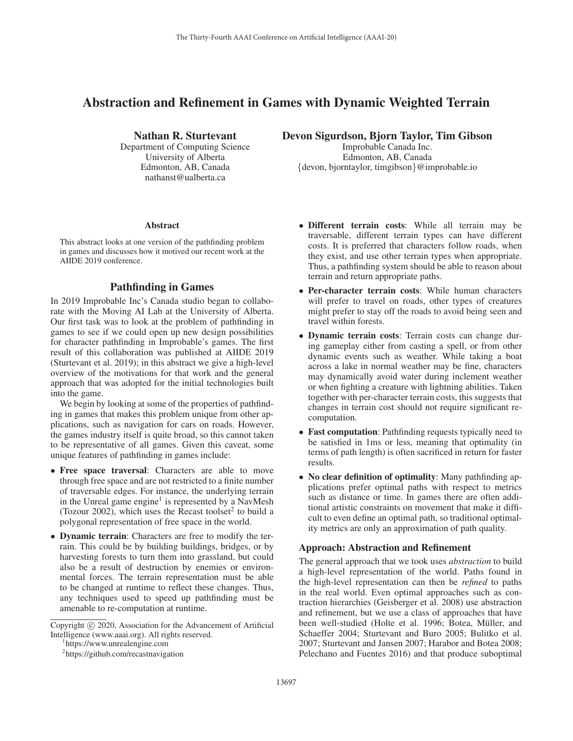# Abstraction and Refinement in Games with Dynamic Weighted Terrain

Nathan R. Sturtevant

Department of Computing Science University of Alberta Edmonton, AB, Canada nathanst@ualberta.ca

#### Abstract

This abstract looks at one version of the pathfinding problem in games and discusses how it motived our recent work at the AIIDE 2019 conference.

## Pathfinding in Games

In 2019 Improbable Inc's Canada studio began to collaborate with the Moving AI Lab at the University of Alberta. Our first task was to look at the problem of pathfinding in games to see if we could open up new design possibilities for character pathfinding in Improbable's games. The first result of this collaboration was published at AIIDE 2019 (Sturtevant et al. 2019); in this abstract we give a high-level overview of the motivations for that work and the general approach that was adopted for the initial technologies built into the game.

We begin by looking at some of the properties of pathfinding in games that makes this problem unique from other applications, such as navigation for cars on roads. However, the games industry itself is quite broad, so this cannot taken to be representative of all games. Given this caveat, some unique features of pathfinding in games include:

- Free space traversal: Characters are able to move through free space and are not restricted to a finite number of traversable edges. For instance, the underlying terrain in the Unreal game engine<sup>1</sup> is represented by a NavMesh (Tozour 2002), which uses the Recast toolset<sup>2</sup> to build a polygonal representation of free space in the world.
- Dynamic terrain: Characters are free to modify the terrain. This could be by building buildings, bridges, or by harvesting forests to turn them into grassland, but could also be a result of destruction by enemies or environmental forces. The terrain representation must be able to be changed at runtime to reflect these changes. Thus, any techniques used to speed up pathfinding must be amenable to re-computation at runtime.

https://www.unrealengine.com

Devon Sigurdson, Bjorn Taylor, Tim Gibson

Improbable Canada Inc. Edmonton, AB, Canada {devon, bjorntaylor, timgibson}@improbable.io

- Different terrain costs: While all terrain may be traversable, different terrain types can have different costs. It is preferred that characters follow roads, when they exist, and use other terrain types when appropriate. Thus, a pathfinding system should be able to reason about terrain and return appropriate paths.
- Per-character terrain costs: While human characters will prefer to travel on roads, other types of creatures might prefer to stay off the roads to avoid being seen and travel within forests.
- Dynamic terrain costs: Terrain costs can change during gameplay either from casting a spell, or from other dynamic events such as weather. While taking a boat across a lake in normal weather may be fine, characters may dynamically avoid water during inclement weather or when fighting a creature with lightning abilities. Taken together with per-character terrain costs, this suggests that changes in terrain cost should not require significant recomputation.
- Fast computation: Pathfinding requests typically need to be satisfied in 1ms or less, meaning that optimality (in terms of path length) is often sacrificed in return for faster results.
- No clear definition of optimality: Many pathfinding applications prefer optimal paths with respect to metrics such as distance or time. In games there are often additional artistic constraints on movement that make it difficult to even define an optimal path, so traditional optimality metrics are only an approximation of path quality.

#### Approach: Abstraction and Refinement

The general approach that we took uses *abstraction* to build a high-level representation of the world. Paths found in the high-level representation can then be *refined* to paths in the real world. Even optimal approaches such as contraction hierarchies (Geisberger et al. 2008) use abstraction and refinement, but we use a class of approaches that have been well-studied (Holte et al. 1996; Botea, Müller, and Schaeffer 2004; Sturtevant and Buro 2005; Bulitko et al. 2007; Sturtevant and Jansen 2007; Harabor and Botea 2008; Pelechano and Fuentes 2016) and that produce suboptimal

Copyright  $\odot$  2020, Association for the Advancement of Artificial Intelligence (www.aaai.org). All rights reserved.

<sup>2</sup> https://github.com/recastnavigation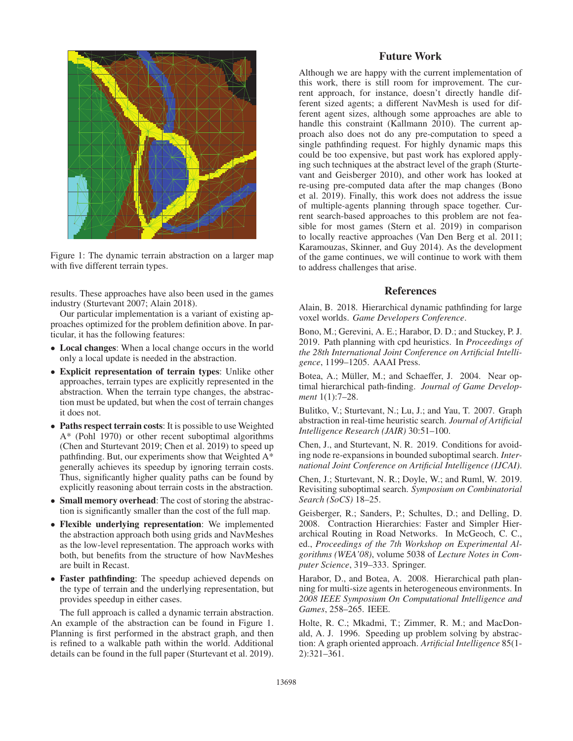

Figure 1: The dynamic terrain abstraction on a larger map with five different terrain types.

results. These approaches have also been used in the games industry (Sturtevant 2007; Alain 2018).

Our particular implementation is a variant of existing approaches optimized for the problem definition above. In particular, it has the following features:

- Local changes: When a local change occurs in the world only a local update is needed in the abstraction.
- Explicit representation of terrain types: Unlike other approaches, terrain types are explicitly represented in the abstraction. When the terrain type changes, the abstraction must be updated, but when the cost of terrain changes it does not.
- Paths respect terrain costs: It is possible to use Weighted A\* (Pohl 1970) or other recent suboptimal algorithms (Chen and Sturtevant 2019; Chen et al. 2019) to speed up pathfinding. But, our experiments show that Weighted A\* generally achieves its speedup by ignoring terrain costs. Thus, significantly higher quality paths can be found by explicitly reasoning about terrain costs in the abstraction.
- Small memory overhead: The cost of storing the abstraction is significantly smaller than the cost of the full map.
- Flexible underlying representation: We implemented the abstraction approach both using grids and NavMeshes as the low-level representation. The approach works with both, but benefits from the structure of how NavMeshes are built in Recast.
- Faster pathfinding: The speedup achieved depends on the type of terrain and the underlying representation, but provides speedup in either cases.

The full approach is called a dynamic terrain abstraction. An example of the abstraction can be found in Figure 1. Planning is first performed in the abstract graph, and then is refined to a walkable path within the world. Additional details can be found in the full paper (Sturtevant et al. 2019).

## Future Work

Although we are happy with the current implementation of this work, there is still room for improvement. The current approach, for instance, doesn't directly handle different sized agents; a different NavMesh is used for different agent sizes, although some approaches are able to handle this constraint (Kallmann 2010). The current approach also does not do any pre-computation to speed a single pathfinding request. For highly dynamic maps this could be too expensive, but past work has explored applying such techniques at the abstract level of the graph (Sturtevant and Geisberger 2010), and other work has looked at re-using pre-computed data after the map changes (Bono et al. 2019). Finally, this work does not address the issue of multiple-agents planning through space together. Current search-based approaches to this problem are not feasible for most games (Stern et al. 2019) in comparison to locally reactive approaches (Van Den Berg et al. 2011; Karamouzas, Skinner, and Guy 2014). As the development of the game continues, we will continue to work with them to address challenges that arise.

### References

Alain, B. 2018. Hierarchical dynamic pathfinding for large voxel worlds. *Game Developers Conference*.

Bono, M.; Gerevini, A. E.; Harabor, D. D.; and Stuckey, P. J. 2019. Path planning with cpd heuristics. In *Proceedings of the 28th International Joint Conference on Artificial Intelligence*, 1199–1205. AAAI Press.

Botea, A.; Müller, M.; and Schaeffer, J. 2004. Near optimal hierarchical path-finding. *Journal of Game Development* 1(1):7–28.

Bulitko, V.; Sturtevant, N.; Lu, J.; and Yau, T. 2007. Graph abstraction in real-time heuristic search. *Journal of Artificial Intelligence Research (JAIR)* 30:51–100.

Chen, J., and Sturtevant, N. R. 2019. Conditions for avoiding node re-expansions in bounded suboptimal search. *International Joint Conference on Artificial Intelligence (IJCAI)*.

Chen, J.; Sturtevant, N. R.; Doyle, W.; and Ruml, W. 2019. Revisiting suboptimal search. *Symposium on Combinatorial Search (SoCS)* 18–25.

Geisberger, R.; Sanders, P.; Schultes, D.; and Delling, D. 2008. Contraction Hierarchies: Faster and Simpler Hierarchical Routing in Road Networks. In McGeoch, C. C., ed., *Proceedings of the 7th Workshop on Experimental Algorithms (WEA'08)*, volume 5038 of *Lecture Notes in Computer Science*, 319–333. Springer.

Harabor, D., and Botea, A. 2008. Hierarchical path planning for multi-size agents in heterogeneous environments. In *2008 IEEE Symposium On Computational Intelligence and Games*, 258–265. IEEE.

Holte, R. C.; Mkadmi, T.; Zimmer, R. M.; and MacDonald, A. J. 1996. Speeding up problem solving by abstraction: A graph oriented approach. *Artificial Intelligence* 85(1- 2):321–361.